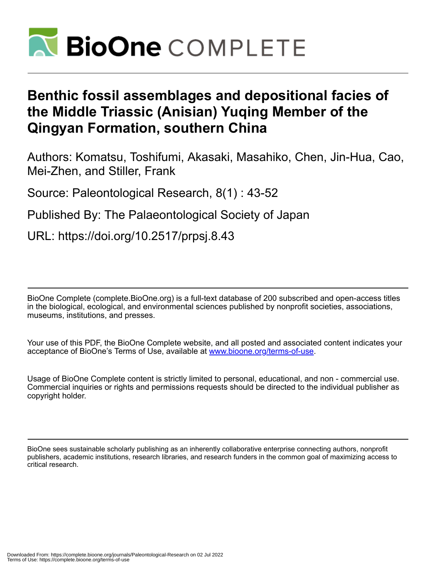

# **Benthic fossil assemblages and depositional facies of the Middle Triassic (Anisian) Yuqing Member of the Qingyan Formation, southern China**

Authors: Komatsu, Toshifumi, Akasaki, Masahiko, Chen, Jin-Hua, Cao, Mei-Zhen, and Stiller, Frank

Source: Paleontological Research, 8(1) : 43-52

Published By: The Palaeontological Society of Japan

URL: https://doi.org/10.2517/prpsj.8.43

BioOne Complete (complete.BioOne.org) is a full-text database of 200 subscribed and open-access titles in the biological, ecological, and environmental sciences published by nonprofit societies, associations, museums, institutions, and presses.

Your use of this PDF, the BioOne Complete website, and all posted and associated content indicates your acceptance of BioOne's Terms of Use, available at www.bioone.org/terms-of-use.

Usage of BioOne Complete content is strictly limited to personal, educational, and non - commercial use. Commercial inquiries or rights and permissions requests should be directed to the individual publisher as copyright holder.

BioOne sees sustainable scholarly publishing as an inherently collaborative enterprise connecting authors, nonprofit publishers, academic institutions, research libraries, and research funders in the common goal of maximizing access to critical research.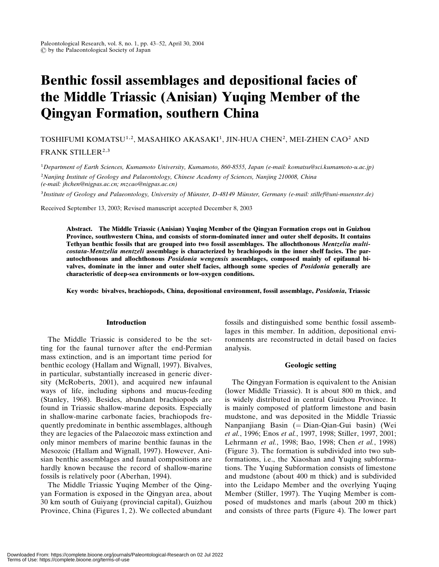# Benthic fossil assemblages and depositional facies of the Middle Triassic (Anisian) Yuqing Member of the Qingyan Formation, southern China

## TOSHIFUMI KOMATSU<sup>1,2</sup>, MASAHIKO AKASAKI<sup>1</sup>, JIN-HUA CHEN<sup>2</sup>, MEI-ZHEN CAO<sup>2</sup> AND

FRANK STILLER<sup>2,3</sup>

1Department of Earth Sciences, Kumamoto University, Kumamoto, 860-8555, Japan (e-mail: komatsu@sci.kumamoto-u.ac.jp)

<sup>2</sup>Nanjing Institute of Geology and Palaeontology, Chinese Academy of Sciences, Nanjing 210008, China (e-mail: jhchen@nigpas.ac.cn; mzcao@nigpas.ac.cn)

 $3$ Institute of Geology and Palaeontology, University of Münster, D-48149 Münster, Germany (e-mail: stillef@uni-muenster.de)

Received September 13, 2003; Revised manuscript accepted December 8, 2003

Abstract. The Middle Triassic (Anisian) Yuqing Member of the Qingyan Formation crops out in Guizhou Province, southwestern China, and consists of storm-dominated inner and outer shelf deposits. It contains Tethyan benthic fossils that are grouped into two fossil assemblages. The allochthonous Mentzelia multicostata-Mentzelia mentzeli assemblage is characterized by brachiopods in the inner shelf facies. The parautochthonous and allochthonous Posidonia wengensis assemblages, composed mainly of epifaunal bivalves, dominate in the inner and outer shelf facies, although some species of Posidonia generally are characteristic of deep-sea environments or low-oxygen conditions.

Key words: bivalves, brachiopods, China, depositional environment, fossil assemblage, Posidonia, Triassic

#### Introduction

The Middle Triassic is considered to be the setting for the faunal turnover after the end-Permian mass extinction, and is an important time period for benthic ecology (Hallam and Wignall, 1997). Bivalves, in particular, substantially increased in generic diversity (McRoberts, 2001), and acquired new infaunal ways of life, including siphons and mucus-feeding (Stanley, 1968). Besides, abundant brachiopods are found in Triassic shallow-marine deposits. Especially in shallow-marine carbonate facies, brachiopods frequently predominate in benthic assemblages, although they are legacies of the Palaeozoic mass extinction and only minor members of marine benthic faunas in the Mesozoic (Hallam and Wignall, 1997). However, Anisian benthic assemblages and faunal compositions are hardly known because the record of shallow-marine fossils is relatively poor (Aberhan, 1994).

The Middle Triassic Yuqing Member of the Qingyan Formation is exposed in the Qingyan area, about 30 km south of Guiyang (provincial capital), Guizhou Province, China (Figures 1, 2). We collected abundant

fossils and distinguished some benthic fossil assemblages in this member. In addition, depositional environments are reconstructed in detail based on facies analysis.

### Geologic setting

The Qingyan Formation is equivalent to the Anisian (lower Middle Triassic). It is about 800 m thick, and is widely distributed in central Guizhou Province. It is mainly composed of platform limestone and basin mudstone, and was deposited in the Middle Triassic Nanpanjiang Basin  $(=$  Dian-Qian-Gui basin) (Wei et al., 1996; Enos et al., 1997, 1998; Stiller, 1997, 2001; Lehrmann et al., 1998; Bao, 1998; Chen et al., 1998) (Figure 3). The formation is subdivided into two subformations, i.e., the Xiaoshan and Yuqing subformations. The Yuqing Subformation consists of limestone and mudstone (about 400 m thick) and is subdivided into the Leidapo Member and the overlying Yuqing Member (Stiller, 1997). The Yuqing Member is composed of mudstones and marls (about 200 m thick) and consists of three parts (Figure 4). The lower part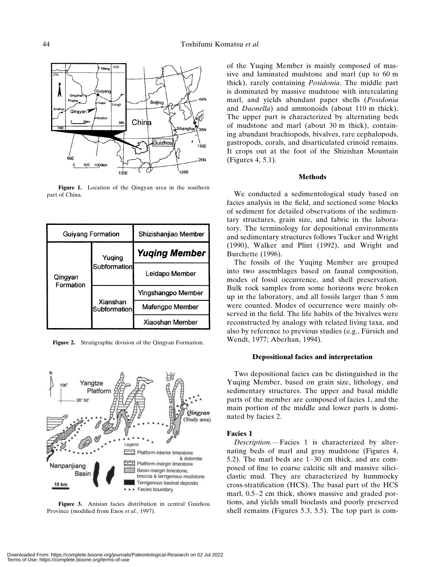

Figure 1. Location of the Qingyan area in the southern part of China.

| Guiyang Formation    |                          | Shizishanjiao Member |
|----------------------|--------------------------|----------------------|
| Qingyan<br>Formation | Yuqing<br>Subformation   | <b>Yuging Member</b> |
|                      |                          | Leidapo Member       |
|                      | Xianshan<br>Subformation | Yingshangpo Member   |
|                      |                          | Mafengpo Member      |
|                      |                          | Xiaoshan Member      |





Figure 3. Anisian facies distribution in central Guizhou Province (modified from Enos et al., 1997).

of the Yuqing Member is mainly composed of massive and laminated mudstone and marl (up to 60 m thick), rarely containing Posidonia. The middle part is dominated by massive mudstone with intercalating marl, and yields abundant paper shells (Posidonia and Daonella) and ammonoids (about 110 m thick). The upper part is characterized by alternating beds of mudstone and marl (about 30 m thick), containing abundant brachiopods, bivalves, rare cephalopods, gastropods, corals, and disarticulated crinoid remains. It crops out at the foot of the Shizishan Mountain (Figures 4, 5.1).

#### Methods

We conducted a sedimentological study based on facies analysis in the field, and sectioned some blocks of sediment for detailed observations of the sedimentary structures, grain size, and fabric in the laboratory. The terminology for depositional environments and sedimentary structures follows Tucker and Wright (1990), Walker and Plint (1992), and Wright and Burchette (1996).

The fossils of the Yuqing Member are grouped into two assemblages based on faunal composition, modes of fossil occurrence, and shell preservation. Bulk rock samples from some horizons were broken up in the laboratory, and all fossils larger than 5 mm were counted. Modes of occurrence were mainly observed in the field. The life habits of the bivalves were reconstructed by analogy with related living taxa, and also by reference to previous studies (e.g., Fürsich and Wendt, 1977; Aberhan, 1994).

#### Depositional facies and interpretation

Two depositional facies can be distinguished in the Yuqing Member, based on grain size, lithology, and sedimentary structures. The upper and basal middle parts of the member are composed of facies 1, and the main portion of the middle and lower parts is dominated by facies 2.

#### Facies 1

Description.—Facies 1 is characterized by alternating beds of marl and gray mudstone (Figures 4, 5.2). The marl beds are 1–30 cm thick, and are composed of fine to coarse calcitic silt and massive siliciclastic mud. They are characterized by hummocky cross-stratification (HCS). The basal part of the HCS marl, 0.5–2 cm thick, shows massive and graded portions, and yields small bioclasts and poorly preserved shell remains (Figures 5.3, 5.5). The top part is com-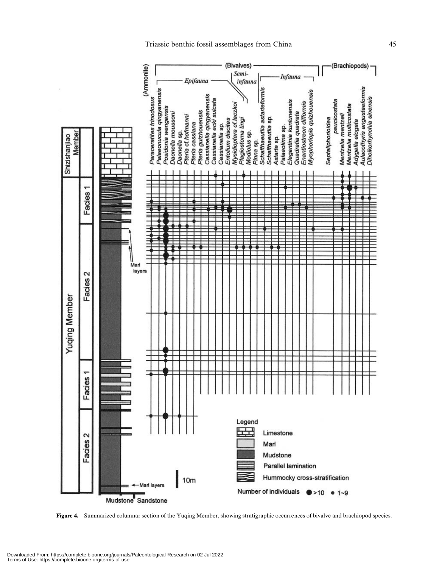

Figure 4. Summarized columnar section of the Yuqing Member, showing stratigraphic occurrences of bivalve and brachiopod species.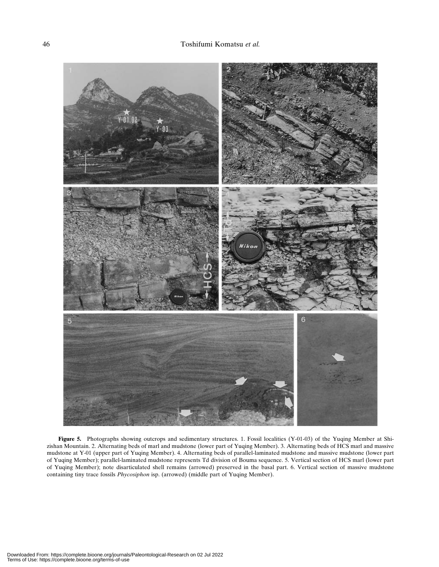

Figure 5. Photographs showing outcrops and sedimentary structures. 1. Fossil localities (Y-01-03) of the Yuqing Member at Shizishan Mountain. 2. Alternating beds of marl and mudstone (lower part of Yuqing Member). 3. Alternating beds of HCS marl and massive mudstone at Y-01 (upper part of Yuqing Member). 4. Alternating beds of parallel-laminated mudstone and massive mudstone (lower part of Yuqing Member); parallel-laminated mudstone represents Td division of Bouma sequence. 5. Vertical section of HCS marl (lower part of Yuqing Member); note disarticulated shell remains (arrowed) preserved in the basal part. 6. Vertical section of massive mudstone containing tiny trace fossils Phycosiphon isp. (arrowed) (middle part of Yuqing Member).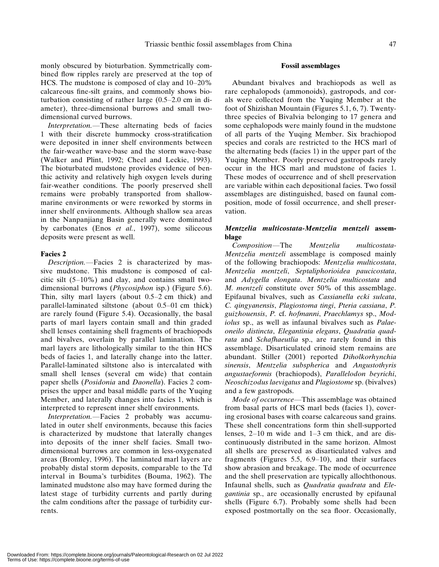monly obscured by bioturbation. Symmetrically combined flow ripples rarely are preserved at the top of HCS. The mudstone is composed of clay and 10–20% calcareous fine-silt grains, and commonly shows bioturbation consisting of rather large (0.5–2.0 cm in diameter), three-dimensional burrows and small twodimensional curved burrows.

Interpretation.—These alternating beds of facies 1 with their discrete hummocky cross-stratification were deposited in inner shelf environments between the fair-weather wave-base and the storm wave-base (Walker and Plint, 1992; Cheel and Leckie, 1993). The bioturbated mudstone provides evidence of benthic activity and relatively high oxygen levels during fair-weather conditions. The poorly preserved shell remains were probably transported from shallowmarine environments or were reworked by storms in inner shelf environments. Although shallow sea areas in the Nanpanjiang Basin generally were dominated by carbonates (Enos et al., 1997), some siliceous deposits were present as well.

#### Facies 2

Description.—Facies 2 is characterized by massive mudstone. This mudstone is composed of calcitic silt (5–10%) and clay, and contains small twodimensional burrows (Phycosiphon isp.) (Figure 5.6). Thin, silty marl layers (about 0.5–2 cm thick) and parallel-laminated siltstone (about 0.5–01 cm thick) are rarely found (Figure 5.4). Occasionally, the basal parts of marl layers contain small and thin graded shell lenses containing shell fragments of brachiopods and bivalves, overlain by parallel lamination. The marl layers are lithologically similar to the thin HCS beds of facies 1, and laterally change into the latter. Parallel-laminated siltstone also is intercalated with small shell lenses (several cm wide) that contain paper shells (Posidonia and Daonella). Facies 2 comprises the upper and basal middle parts of the Yuqing Member, and laterally changes into facies 1, which is interpreted to represent inner shelf environments.

Interpretation.—Facies 2 probably was accumulated in outer shelf environments, because this facies is characterized by mudstone that laterally changes into deposits of the inner shelf facies. Small twodimensional burrows are common in less-oxygenated areas (Bromley, 1996). The laminated marl layers are probably distal storm deposits, comparable to the Td interval in Bouma's turbidites (Bouma, 1962). The laminated mudstone also may have formed during the latest stage of turbidity currents and partly during the calm conditions after the passage of turbidity currents.

#### Fossil assemblages

Abundant bivalves and brachiopods as well as rare cephalopods (ammonoids), gastropods, and corals were collected from the Yuqing Member at the foot of Shizishan Mountain (Figures 5.1, 6, 7). Twentythree species of Bivalvia belonging to 17 genera and some cephalopods were mainly found in the mudstone of all parts of the Yuqing Member. Six brachiopod species and corals are restricted to the HCS marl of the alternating beds (facies 1) in the upper part of the Yuqing Member. Poorly preserved gastropods rarely occur in the HCS marl and mudstone of facies 1. These modes of occurrence and of shell preservation are variable within each depositional facies. Two fossil assemblages are distinguished, based on faunal composition, mode of fossil occurrence, and shell preservation.

### Mentzelia multicostata-Mentzelia mentzeli assemblage

Composition—The Mentzelia multicostata-Mentzelia mentzeli assemblage is composed mainly of the following brachiopods: Mentzelia multicostata, Mentzelia mentzeli, Septaliphorioidea paucicostata, and Adygella elongata. Mentzelia multicostata and M. mentzeli constitute over 50% of this assemblage. Epifaunal bivalves, such as Cassianella ecki sulcata, C. qingyanensis, Plagiostoma tingi, Pteria cassiana, P. guizhouensis, P. cf. hofmanni, Praechlamys sp., Modiolus sp., as well as infaunal bivalves such as Palaeoneilo distincta, Elegantinia elegans, Quadratia quadrata and Schafhaeutlia sp., are rarely found in this assemblage. Disarticulated crinoid stem remains are abundant. Stiller (2001) reported Diholkorhynchia sinensis, Mentzelia subspherica and Angustothyris angustaeformis (brachiopods), Parallelodon beyrichi, Neoschizodus laevigatus and Plagiostome sp. (bivalves) and a few gastropods.

Mode of occurrence—This assemblage was obtained from basal parts of HCS marl beds (facies 1), covering erosional bases with coarse calcareous sand grains. These shell concentrations form thin shell-supported lenses, 2–10 m wide and 1–3 cm thick, and are discontinuously distributed in the same horizon. Almost all shells are preserved as disarticulated valves and fragments (Figures 5.5, 6.9–10), and their surfaces show abrasion and breakage. The mode of occurrence and the shell preservation are typically allochthonous. Infaunal shells, such as Quadratia quadrata and Elegantinia sp., are occasionally encrusted by epifaunal shells (Figure 6.7). Probably some shells had been exposed postmortally on the sea floor. Occasionally,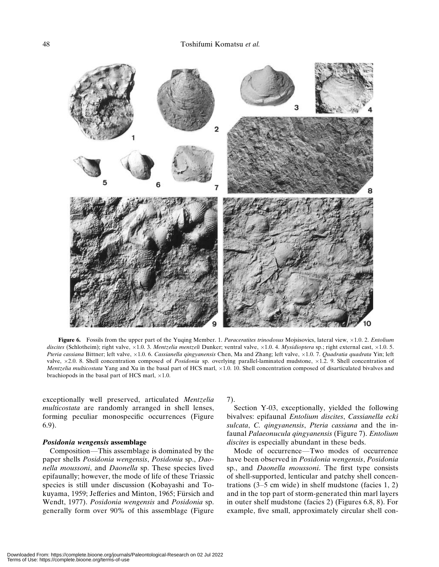

Figure 6. Fossils from the upper part of the Yuqing Member. 1. Paraceratites trinodosus Mojsisovics, lateral view,  $\times 1.0$ . 2. Entolium discites (Schlotheim); right valve,  $\times 1.0$ . 3. Mentzelia mentzeli Dunker; ventral valve,  $\times 1.0$ . 4. Mysidioptera sp.; right external cast,  $\times 1.0$ . 5. Pteria cassiana Bittner; left valve, ×1.0. 6. Cassianella qingyanensis Chen, Ma and Zhang; left valve, ×1.0. 7. Quadratia quadrata Yin; left valve,  $\times$ 2.0. 8. Shell concentration composed of *Posidonia* sp. overlying parallel-laminated mudstone,  $\times$ 1.2. 9. Shell concentration of Mentzelia multicostata Yang and Xu in the basal part of HCS marl,  $\times$ 1.0. 10. Shell concentration composed of disarticulated bivalves and brachiopods in the basal part of HCS marl,  $\times 1.0$ .

exceptionally well preserved, articulated Mentzelia multicostata are randomly arranged in shell lenses, forming peculiar monospecific occurrences (Figure 6.9).

#### Posidonia wengensis assemblage

Composition—This assemblage is dominated by the paper shells Posidonia wengensis, Posidonia sp., Daonella moussoni, and Daonella sp. These species lived epifaunally; however, the mode of life of these Triassic species is still under discussion (Kobayashi and Tokuyama, 1959; Jefferies and Minton, 1965; Fürsich and Wendt, 1977). Posidonia wengensis and Posidonia sp. generally form over 90% of this assemblage (Figure 7).

Section Y-03, exceptionally, yielded the following bivalves: epifaunal Entolium discites, Cassianella ecki sulcata, C. qingyanensis, Pteria cassiana and the infaunal Palaeonucula qingyanensis (Figure 7). Entolium discites is especially abundant in these beds.

Mode of occurrence—Two modes of occurrence have been observed in Posidonia wengensis, Posidonia sp., and Daonella moussoni. The first type consists of shell-supported, lenticular and patchy shell concentrations  $(3-5 \text{ cm wide})$  in shelf mudstone (facies 1, 2) and in the top part of storm-generated thin marl layers in outer shelf mudstone (facies 2) (Figures 6.8, 8). For example, five small, approximately circular shell con-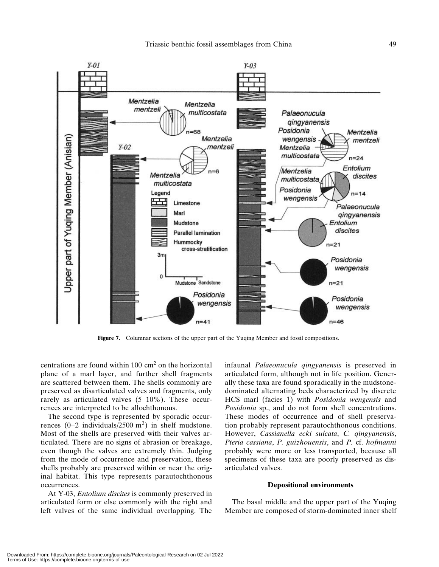

Figure 7. Columnar sections of the upper part of the Yuqing Member and fossil compositions.

centrations are found within  $100 \text{ cm}^2$  on the horizontal plane of a marl layer, and further shell fragments are scattered between them. The shells commonly are preserved as disarticulated valves and fragments, only rarely as articulated valves (5–10%). These occurrences are interpreted to be allochthonous.

The second type is represented by sporadic occurrences  $(0-2$  individuals/2500 m<sup>2</sup>) in shelf mudstone. Most of the shells are preserved with their valves articulated. There are no signs of abrasion or breakage, even though the valves are extremely thin. Judging from the mode of occurrence and preservation, these shells probably are preserved within or near the original habitat. This type represents parautochthonous occurrences.

At Y-03, Entolium discites is commonly preserved in articulated form or else commonly with the right and left valves of the same individual overlapping. The infaunal Palaeonucula qingyanensis is preserved in articulated form, although not in life position. Generally these taxa are found sporadically in the mudstonedominated alternating beds characterized by discrete HCS marl (facies 1) with Posidonia wengensis and Posidonia sp., and do not form shell concentrations. These modes of occurrence and of shell preservation probably represent parautochthonous conditions. However, Cassianella ecki sulcata, C. qingyanensis, Pteria cassiana, P. guizhouensis, and P. cf. hofmanni probably were more or less transported, because all specimens of these taxa are poorly preserved as disarticulated valves.

#### Depositional environments

The basal middle and the upper part of the Yuqing Member are composed of storm-dominated inner shelf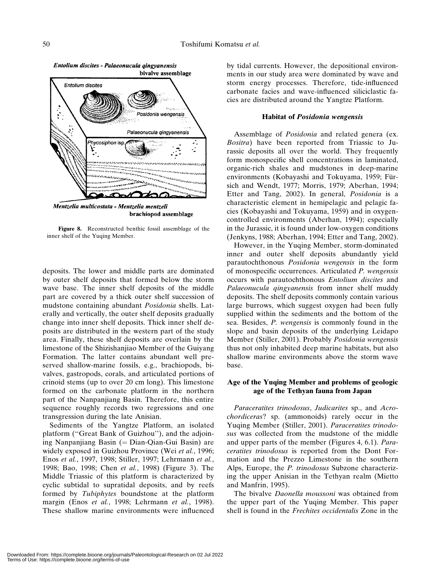

Mentzelia multicostata - Mentzelia mentzeli brachiopod assemblage

Figure 8. Reconstructed benthic fossil assemblage of the inner shelf of the Yuqing Member.

deposits. The lower and middle parts are dominated by outer shelf deposits that formed below the storm wave base. The inner shelf deposits of the middle part are covered by a thick outer shelf succession of mudstone containing abundant Posidonia shells. Laterally and vertically, the outer shelf deposits gradually change into inner shelf deposits. Thick inner shelf deposits are distributed in the western part of the study area. Finally, these shelf deposits are overlain by the limestone of the Shizishanjiao Member of the Guiyang Formation. The latter contains abundant well preserved shallow-marine fossils, e.g., brachiopods, bivalves, gastropods, corals, and articulated portions of crinoid stems (up to over 20 cm long). This limestone formed on the carbonate platform in the northern part of the Nanpanjiang Basin. Therefore, this entire sequence roughly records two regressions and one transgression during the late Anisian.

Sediments of the Yangtze Platform, an isolated platform (''Great Bank of Guizhou''), and the adjoining Nanpanjiang Basin  $(=$  Dian-Qian-Gui Basin) are widely exposed in Guizhou Province (Wei et al., 1996; Enos et al., 1997, 1998; Stiller, 1997; Lehrmann et al., 1998; Bao, 1998; Chen et al., 1998) (Figure 3). The Middle Triassic of this platform is characterized by cyclic subtidal to supratidal deposits, and by reefs formed by Tubiphytes boundstone at the platform margin (Enos et al., 1998; Lehrmann et al., 1998). These shallow marine environments were influenced by tidal currents. However, the depositional environments in our study area were dominated by wave and storm energy processes. Therefore, tide-influenced carbonate facies and wave-influenced siliciclastic facies are distributed around the Yangtze Platform.

#### Habitat of Posidonia wengensis

Assemblage of Posidonia and related genera (ex. Bositra) have been reported from Triassic to Jurassic deposits all over the world. They frequently form monospecific shell concentrations in laminated, organic-rich shales and mudstones in deep-marine environments (Kobayashi and Tokuyama, 1959; Fürsich and Wendt, 1977; Morris, 1979; Aberhan, 1994; Etter and Tang, 2002). In general, Posidonia is a characteristic element in hemipelagic and pelagic facies (Kobayashi and Tokuyama, 1959) and in oxygencontrolled environments (Aberhan, 1994); especially in the Jurassic, it is found under low-oxygen conditions (Jenkyns, 1988; Aberhan, 1994; Etter and Tang, 2002).

However, in the Yuqing Member, storm-dominated inner and outer shelf deposits abundantly yield parautochthonous Posidonia wengensis in the form of monospecific occurrences. Articulated P. wengensis occurs with parautochthonous Entolium discites and Palaeonucula qingyanensis from inner shelf muddy deposits. The shelf deposits commonly contain various large burrows, which suggest oxygen had been fully supplied within the sediments and the bottom of the sea. Besides, P. wengensis is commonly found in the slope and basin deposits of the underlying Leidapo Member (Stiller, 2001). Probably Posidonia wengensis thus not only inhabited deep marine habitats, but also shallow marine environments above the storm wave base.

### Age of the Yuqing Member and problems of geologic age of the Tethyan fauna from Japan

Paraceratites trinodosus, Judicarites sp., and Acrochordiceras? sp. (ammonoids) rarely occur in the Yuqing Member (Stiller, 2001). Paraceratites trinodosus was collected from the mudstone of the middle and upper parts of the member (Figures 4, 6.1). Paraceratites trinodosus is reported from the Dont Formation and the Prezzo Limestone in the southern Alps, Europe, the P. trinodosus Subzone characterizing the upper Anisian in the Tethyan realm (Mietto and Manfrin, 1995).

The bivalve Daonella moussoni was obtained from the upper part of the Yuqing Member. This paper shell is found in the Frechites occidentalis Zone in the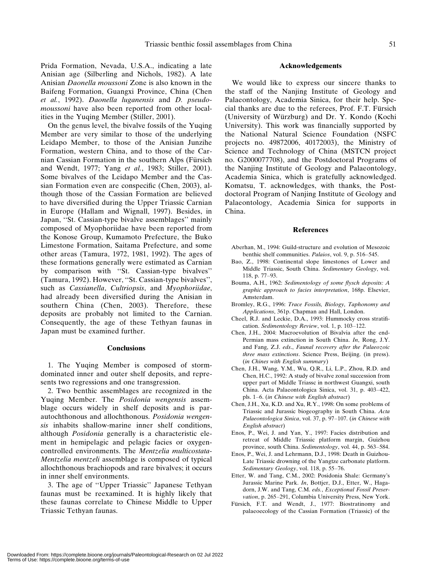Prida Formation, Nevada, U.S.A., indicating a late Anisian age (Silberling and Nichols, 1982). A late Anisian Daonella moussoni Zone is also known in the Baifeng Formation, Guangxi Province, China (Chen et al., 1992). Daonella luganensis and D. pseudomoussoni have also been reported from other localities in the Yuqing Member (Stiller, 2001).

On the genus level, the bivalve fossils of the Yuqing Member are very similar to those of the underlying Leidapo Member, to those of the Anisian Junzihe Formation, western China, and to those of the Carnian Cassian Formation in the southern Alps (Fürsich and Wendt, 1977; Yang et al., 1983; Stiller, 2001). Some bivalves of the Leidapo Member and the Cassian Formation even are conspecific (Chen, 2003), although those of the Cassian Formation are believed to have diversified during the Upper Triassic Carnian in Europe (Hallam and Wignall, 1997). Besides, in Japan, ''St. Cassian-type bivalve assemblages'' mainly composed of Myophoriidae have been reported from the Konose Group, Kumamoto Prefecture, the Buko Limestone Formation, Saitama Prefecture, and some other areas (Tamura, 1972, 1981, 1992). The ages of these formations generally were estimated as Carnian by comparison with ''St. Cassian-type bivalves'' (Tamura, 1992). However, ''St. Cassian-type bivalves'', such as *Cassianella*, *Cultriopsis*, and *Myophoriidae*, had already been diversified during the Anisian in southern China (Chen, 2003). Therefore, these deposits are probably not limited to the Carnian. Consequently, the age of these Tethyan faunas in Japan must be examined further.

#### Conclusions

1. The Yuqing Member is composed of stormdominated inner and outer shelf deposits, and represents two regressions and one transgression.

2. Two benthic assemblages are recognized in the Yuqing Member. The Posidonia wengensis assemblage occurs widely in shelf deposits and is parautochthonous and allochthonous. Posidonia wengensis inhabits shallow-marine inner shelf conditions, although Posidonia generally is a characteristic element in hemipelagic and pelagic facies or oxygencontrolled environments. The Mentzelia multicostata-Mentzelia mentzeli assemblage is composed of typical allochthonous brachiopods and rare bivalves; it occurs in inner shelf environments.

3. The age of ''Upper Triassic'' Japanese Tethyan faunas must be reexamined. It is highly likely that these faunas correlate to Chinese Middle to Upper Triassic Tethyan faunas.

#### Acknowledgements

We would like to express our sincere thanks to the staff of the Nanjing Institute of Geology and Palaeontology, Academia Sinica, for their help. Special thanks are due to the referees, Prof. F.T. Fürsich (University of Wu¨rzburg) and Dr. Y. Kondo (Kochi University). This work was financially supported by the National Natural Science Foundation (NSFC projects no. 49872006, 40172003), the Ministry of Science and Technology of China (MSTCN project no. G2000077708), and the Postdoctoral Programs of the Nanjing Institute of Geology and Palaeontology, Academia Sinica, which is gratefully acknowledged. Komatsu, T. acknowledges, with thanks, the Postdoctoral Program of Nanjing Institute of Geology and Palaeontology, Academia Sinica for supports in China.

#### References

- Aberhan, M., 1994: Guild-structure and evolution of Mesozoic benthic shelf communities. Palaios, vol. 9, p. 516–545.
- Bao, Z., 1998: Continental slope limestones of Lower and Middle Triassic, South China. Sedimentary Geology, vol. 118, p. 77–93.
- Bouma, A.H., 1962: Sedimentology of some flysch deposits: A graphic approach to facies interpretation, 168p. Elsevier, Amsterdam.
- Bromley, R.G., 1996: Trace Fossils, Biology, Taphonomy and Applications, 361p. Chapman and Hall, London.
- Cheel, R.J. and Leckie, D.A., 1993: Hummocky cross stratification. Sedimentology Review, vol. 1, p. 103–122.
- Chen, J.H., 2004: Macroevolution of Bivalvia after the end-Permian mass extinction in South China. In, Rong, J.Y. and Fang, Z.J. eds., Faunal recovery after the Palaeozoic three mass extinctions. Science Press, Beijing. (in press). (in Chines with English summary)
- Chen, J.H., Wang, Y.M., Wu, Q.R., Li, L.P., Zhou, R.D. and Chen, H.C., 1992: A study of bivalve zonal succession from upper part of Middle Triassc in northwest Guangxi, south China. Acta Palaeontologica Sinica, vol. 31, p. 403–422, pls. 1–6. (in Chinese with English abstract)
- Chen, J.H., Xu, K.D. and Xu, R.Y., 1998: On some problems of Triassic and Jurassic biogeography in South China. Acta Palaeontologica Sinica, vol. 37, p. 97–107. (in Chinese with English abstract)
- Enos, P., Wei, J. and Yan, Y., 1997: Facies distribution and retreat of Middle Triassic platform margin, Guizhou province, south China. Sedimentology, vol. 44, p. 563–584.
- Enos, P., Wei, J. and Lehrmann, D.J., 1998: Death in Guizhou-Late Triassic drowning of the Yangtze carbonate platform. Sedimentary Geology, vol. 118, p. 55–76.
- Etter, W. and Tang, C.M., 2002: Posidonia Shale: Germany's Jurassic Marine Park. In, Bottjer, D.J., Etter, W., Hagadorn, J.W. and Tang, C.M. eds., Exceptional Fossil Preservation, p. 265–291, Columbia University Press, New York.
- Fürsich, F.T. and Wendt, J., 1977: Biostratinomy and palaeoecology of the Cassian Formation (Triassic) of the